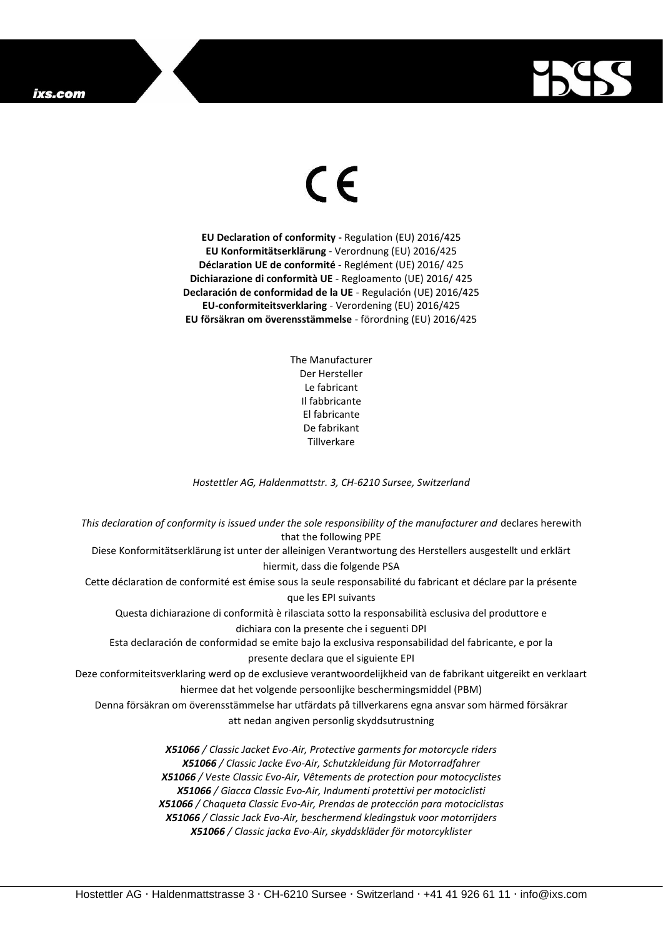## ixs.com



## $\epsilon$

**EU Declaration of conformity -** Regulation (EU) 2016/425 **EU Konformitätserklärung** - Verordnung (EU) 2016/425 **Déclaration UE de conformité** - Reglément (UE) 2016/ 425 **Dichiarazione di conformità UE** - Regloamento (UE) 2016/ 425 **Declaración de conformidad de la UE** - Regulación (UE) 2016/425 **EU-conformiteitsverklaring** - Verordening (EU) 2016/425 **EU försäkran om överensstämmelse** - förordning (EU) 2016/425

> The Manufacturer Der Hersteller Le fabricant Il fabbricante El fabricante De fabrikant **Tillverkare**

*Hostettler AG, Haldenmattstr. 3, CH-6210 Sursee, Switzerland*

*This declaration of conformity is issued under the sole responsibility of the manufacturer and* declares herewith that the following PPE Diese Konformitätserklärung ist unter der alleinigen Verantwortung des Herstellers ausgestellt und erklärt hiermit, dass die folgende PSA Cette déclaration de conformité est émise sous la seule responsabilité du fabricant et déclare par la présente que les EPI suivants Questa dichiarazione di conformità è rilasciata sotto la responsabilità esclusiva del produttore e dichiara con la presente che i seguenti DPI Esta declaración de conformidad se emite bajo la exclusiva responsabilidad del fabricante, e por la presente declara que el siguiente EPI Deze conformiteitsverklaring werd op de exclusieve verantwoordelijkheid van de fabrikant uitgereikt en verklaart hiermee dat het volgende persoonlijke beschermingsmiddel (PBM) Denna försäkran om överensstämmelse har utfärdats på tillverkarens egna ansvar som härmed försäkrar att nedan angiven personlig skyddsutrustning *X51066 / Classic Jacket Evo-Air, Protective garments for motorcycle riders X51066 / Classic Jacke Evo-Air, Schutzkleidung für Motorradfahrer X51066 / Veste Classic Evo-Air, Vêtements de protection pour motocyclistes X51066 / Giacca Classic Evo-Air, Indumenti protettivi per motociclisti X51066 / Chaqueta Classic Evo-Air, Prendas de protección para motociclistas*

*X51066 / Classic Jack Evo-Air, beschermend kledingstuk voor motorrijders X51066 / Classic jacka Evo-Air, skyddskläder för motorcyklister*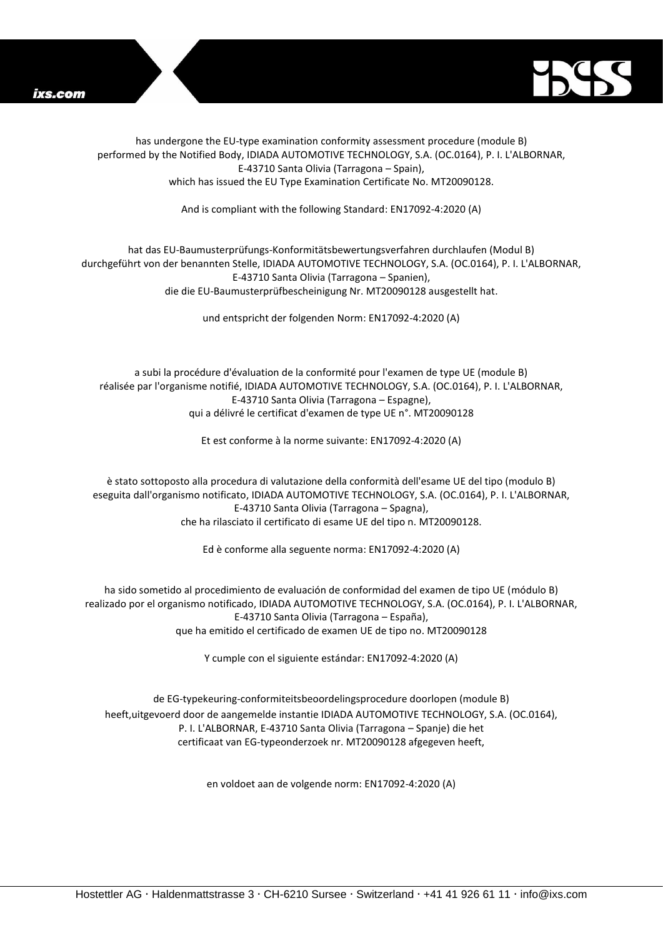



has undergone the EU-type examination conformity assessment procedure (module B) performed by the Notified Body, IDIADA AUTOMOTIVE TECHNOLOGY, S.A. (OC.0164), P. I. L'ALBORNAR, E-43710 Santa Olivia (Tarragona – Spain), which has issued the EU Type Examination Certificate No. MT20090128.

And is compliant with the following Standard: EN17092-4:2020 (A)

## hat das EU-Baumusterprüfungs-Konformitätsbewertungsverfahren durchlaufen (Modul B) durchgeführt von der benannten Stelle, IDIADA AUTOMOTIVE TECHNOLOGY, S.A. (OC.0164), P. I. L'ALBORNAR, E-43710 Santa Olivia (Tarragona – Spanien), die die EU-Baumusterprüfbescheinigung Nr. MT20090128 ausgestellt hat.

und entspricht der folgenden Norm: EN17092-4:2020 (A)

a subi la procédure d'évaluation de la conformité pour l'examen de type UE (module B) réalisée par l'organisme notifié, IDIADA AUTOMOTIVE TECHNOLOGY, S.A. (OC.0164), P. I. L'ALBORNAR, E-43710 Santa Olivia (Tarragona – Espagne), qui a délivré le certificat d'examen de type UE n°. MT20090128

Et est conforme à la norme suivante: EN17092-4:2020 (A)

è stato sottoposto alla procedura di valutazione della conformità dell'esame UE del tipo (modulo B) eseguita dall'organismo notificato, IDIADA AUTOMOTIVE TECHNOLOGY, S.A. (OC.0164), P. I. L'ALBORNAR, E-43710 Santa Olivia (Tarragona – Spagna), che ha rilasciato il certificato di esame UE del tipo n. MT20090128.

Ed è conforme alla seguente norma: EN17092-4:2020 (A)

ha sido sometido al procedimiento de evaluación de conformidad del examen de tipo UE (módulo B) realizado por el organismo notificado, IDIADA AUTOMOTIVE TECHNOLOGY, S.A. (OC.0164), P. I. L'ALBORNAR, E-43710 Santa Olivia (Tarragona – España), que ha emitido el certificado de examen UE de tipo no. MT20090128

Y cumple con el siguiente estándar: EN17092-4:2020 (A)

de EG-typekeuring-conformiteitsbeoordelingsprocedure doorlopen (module B) heeft,uitgevoerd door de aangemelde instantie IDIADA AUTOMOTIVE TECHNOLOGY, S.A. (OC.0164), P. I. L'ALBORNAR, E-43710 Santa Olivia (Tarragona – Spanje) die het certificaat van EG-typeonderzoek nr. MT20090128 afgegeven heeft,

en voldoet aan de volgende norm: EN17092-4:2020 (A)